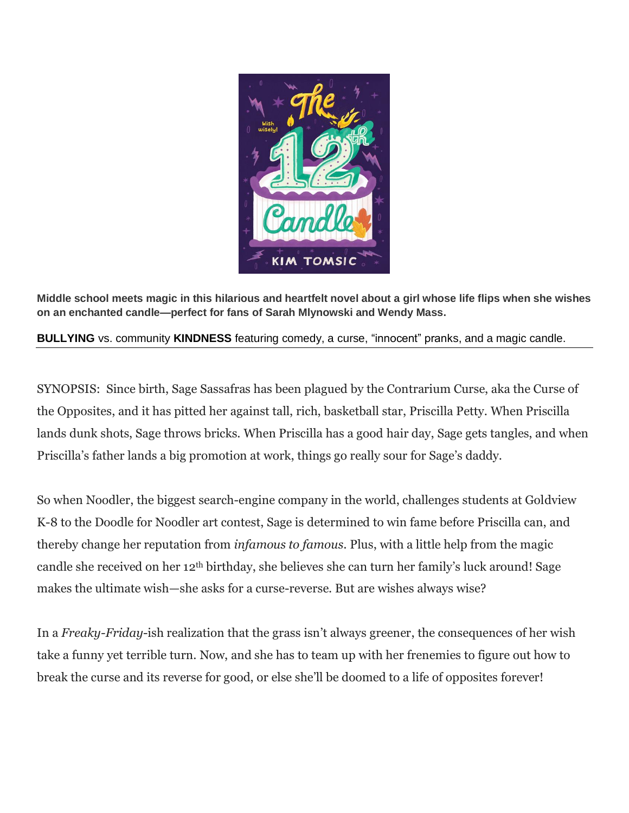

**Middle school meets magic in this hilarious and heartfelt novel about a girl whose life flips when she wishes on an enchanted candle—perfect for fans of Sarah Mlynowski and Wendy Mass.**

**BULLYING** vs. community **KINDNESS** featuring comedy, a curse, "innocent" pranks, and a magic candle.

SYNOPSIS: Since birth, Sage Sassafras has been plagued by the Contrarium Curse, aka the Curse of the Opposites, and it has pitted her against tall, rich, basketball star, Priscilla Petty. When Priscilla lands dunk shots, Sage throws bricks. When Priscilla has a good hair day, Sage gets tangles, and when Priscilla's father lands a big promotion at work, things go really sour for Sage's daddy.

So when Noodler, the biggest search-engine company in the world, challenges students at Goldview K-8 to the Doodle for Noodler art contest, Sage is determined to win fame before Priscilla can, and thereby change her reputation from *infamous to famous.* Plus, with a little help from the magic candle she received on her 12th birthday, she believes she can turn her family's luck around! Sage makes the ultimate wish—she asks for a curse-reverse. But are wishes always wise?

In a *Freaky-Friday*-ish realization that the grass isn't always greener, the consequences of her wish take a funny yet terrible turn. Now, and she has to team up with her frenemies to figure out how to break the curse and its reverse for good, or else she'll be doomed to a life of opposites forever!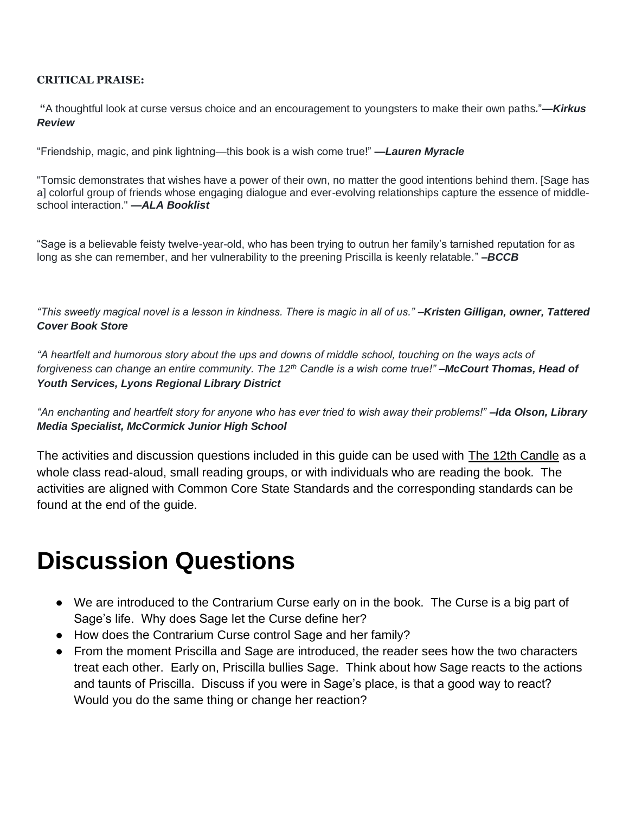#### **CRITICAL PRAISE:**

**"**A thoughtful look at curse versus choice and an encouragement to youngsters to make their own paths*.*"*—Kirkus Review*

"Friendship, magic, and pink lightning—this book is a wish come true!" *—Lauren Myracle*

"Tomsic demonstrates that wishes have a power of their own, no matter the good intentions behind them. [Sage has a] colorful group of friends whose engaging dialogue and ever-evolving relationships capture the essence of middleschool interaction." *—ALA Booklist*

"Sage is a believable feisty twelve-year-old, who has been trying to outrun her family's tarnished reputation for as long as she can remember, and her vulnerability to the preening Priscilla is keenly relatable." *–BCCB*

*"This sweetly magical novel is a lesson in kindness. There is magic in all of us." –Kristen Gilligan, owner, Tattered Cover Book Store*

*"A heartfelt and humorous story about the ups and downs of middle school, touching on the ways acts of forgiveness can change an entire community. The 12th Candle is a wish come true!" –McCourt Thomas, Head of Youth Services, Lyons Regional Library District*

"An enchanting and heartfelt story for anyone who has ever tried to wish away their problems!" **–Ida Olson, Library** *Media Specialist, McCormick Junior High School*

The activities and discussion questions included in this guide can be used with **The 12th Candle** as a whole class read-aloud, small reading groups, or with individuals who are reading the book. The activities are aligned with Common Core State Standards and the corresponding standards can be found at the end of the guide.

# **Discussion Questions**

- We are introduced to the Contrarium Curse early on in the book. The Curse is a big part of Sage's life. Why does Sage let the Curse define her?
- How does the Contrarium Curse control Sage and her family?
- From the moment Priscilla and Sage are introduced, the reader sees how the two characters treat each other. Early on, Priscilla bullies Sage. Think about how Sage reacts to the actions and taunts of Priscilla. Discuss if you were in Sage's place, is that a good way to react? Would you do the same thing or change her reaction?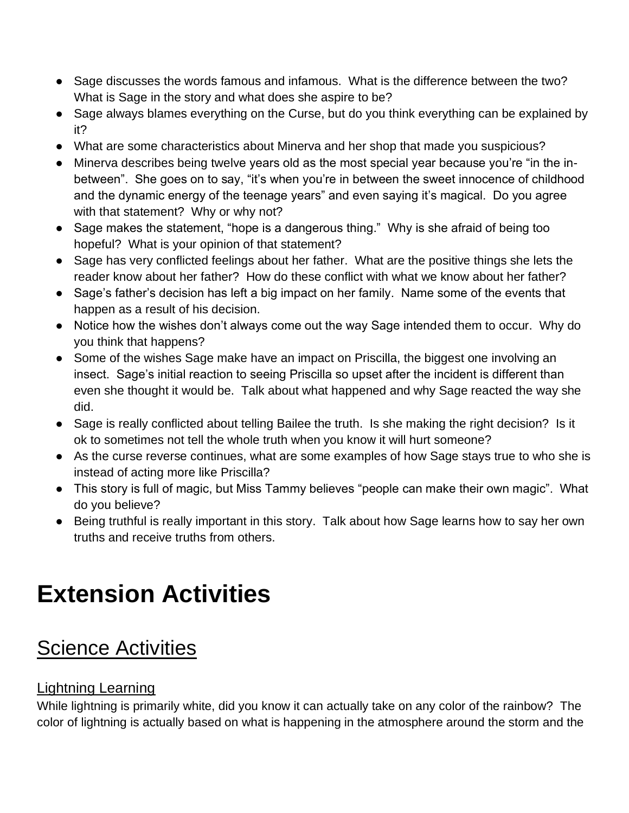- Sage discusses the words famous and infamous. What is the difference between the two? What is Sage in the story and what does she aspire to be?
- Sage always blames everything on the Curse, but do you think everything can be explained by it?
- What are some characteristics about Minerva and her shop that made you suspicious?
- Minerva describes being twelve years old as the most special year because you're "in the inbetween". She goes on to say, "it's when you're in between the sweet innocence of childhood and the dynamic energy of the teenage years" and even saying it's magical. Do you agree with that statement? Why or why not?
- Sage makes the statement, "hope is a dangerous thing." Why is she afraid of being too hopeful? What is your opinion of that statement?
- Sage has very conflicted feelings about her father. What are the positive things she lets the reader know about her father? How do these conflict with what we know about her father?
- Sage's father's decision has left a big impact on her family. Name some of the events that happen as a result of his decision.
- Notice how the wishes don't always come out the way Sage intended them to occur. Why do you think that happens?
- Some of the wishes Sage make have an impact on Priscilla, the biggest one involving an insect. Sage's initial reaction to seeing Priscilla so upset after the incident is different than even she thought it would be. Talk about what happened and why Sage reacted the way she did.
- Sage is really conflicted about telling Bailee the truth. Is she making the right decision? Is it ok to sometimes not tell the whole truth when you know it will hurt someone?
- As the curse reverse continues, what are some examples of how Sage stays true to who she is instead of acting more like Priscilla?
- This story is full of magic, but Miss Tammy believes "people can make their own magic". What do you believe?
- Being truthful is really important in this story. Talk about how Sage learns how to say her own truths and receive truths from others.

# **Extension Activities**

## **Science Activities**

## Lightning Learning

While lightning is primarily white, did you know it can actually take on any color of the rainbow? The color of lightning is actually based on what is happening in the atmosphere around the storm and the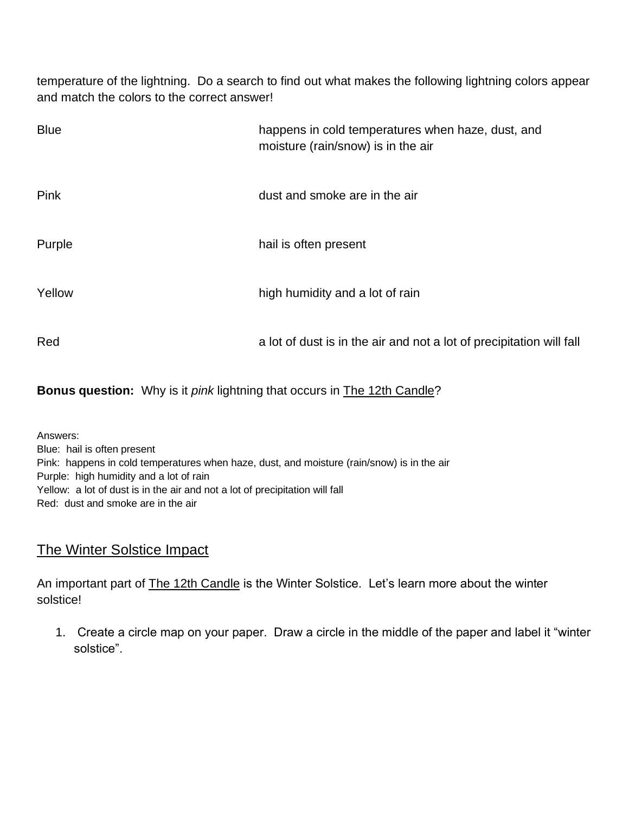temperature of the lightning. Do a search to find out what makes the following lightning colors appear and match the colors to the correct answer!

| <b>Blue</b> | happens in cold temperatures when haze, dust, and<br>moisture (rain/snow) is in the air |
|-------------|-----------------------------------------------------------------------------------------|
| Pink        | dust and smoke are in the air                                                           |
| Purple      | hail is often present                                                                   |
| Yellow      | high humidity and a lot of rain                                                         |
| Red         | a lot of dust is in the air and not a lot of precipitation will fall                    |

**Bonus question:** Why is it *pink* lightning that occurs in The 12th Candle?

Answers: Blue: hail is often present Pink: happens in cold temperatures when haze, dust, and moisture (rain/snow) is in the air Purple: high humidity and a lot of rain Yellow: a lot of dust is in the air and not a lot of precipitation will fall Red: dust and smoke are in the air

### The Winter Solstice Impact

An important part of **The 12th Candle** is the Winter Solstice. Let's learn more about the winter solstice!

1. Create a circle map on your paper. Draw a circle in the middle of the paper and label it "winter solstice".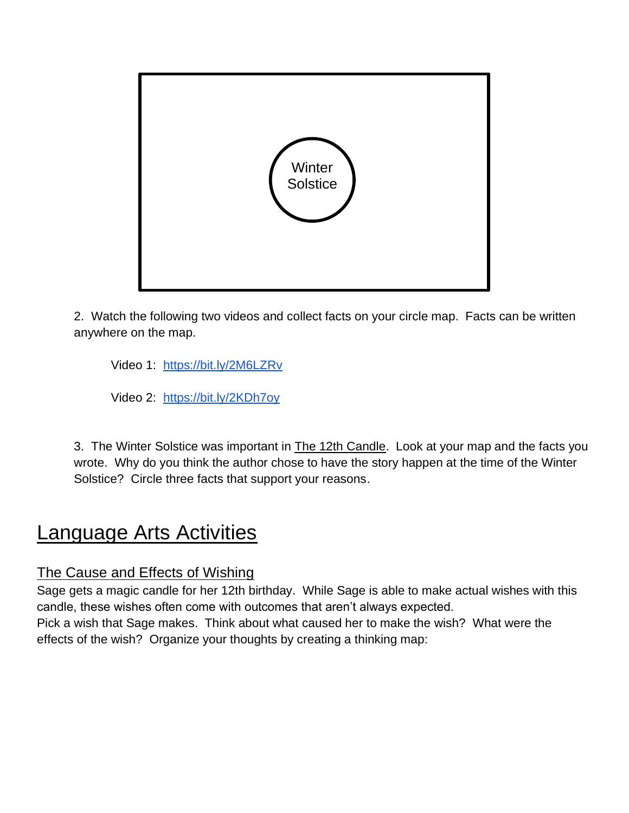

2. Watch the following two videos and collect facts on your circle map. Facts can be written anywhere on the map.

Video 1: <https://bit.ly/2M6LZRv>

Video 2: <https://bit.ly/2KDh7oy>

3. The Winter Solstice was important in The 12th Candle. Look at your map and the facts you wrote. Why do you think the author chose to have the story happen at the time of the Winter Solstice? Circle three facts that support your reasons.

## Language Arts Activities

### The Cause and Effects of Wishing

Sage gets a magic candle for her 12th birthday. While Sage is able to make actual wishes with this candle, these wishes often come with outcomes that aren't always expected.

Pick a wish that Sage makes. Think about what caused her to make the wish? What were the effects of the wish? Organize your thoughts by creating a thinking map: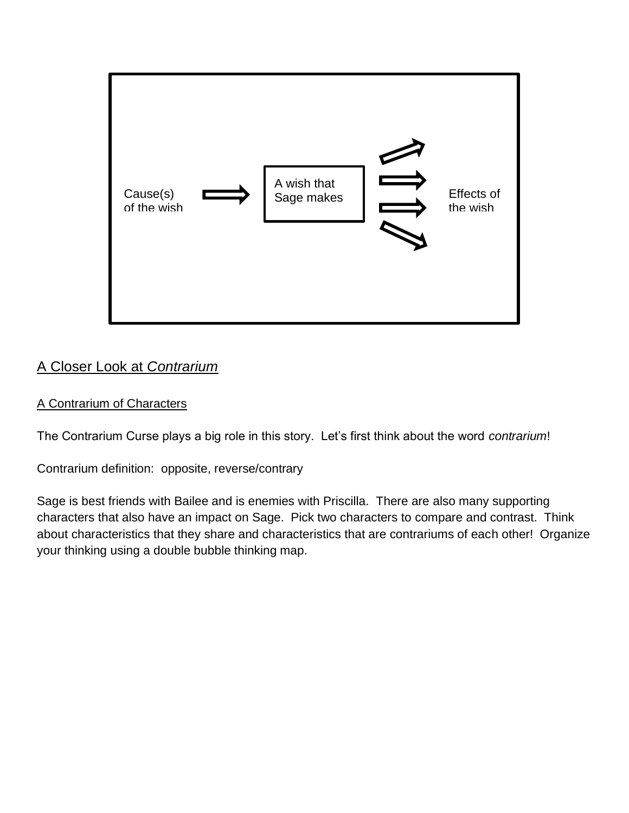

## A Closer Look at *Contrarium*

#### A Contrarium of Characters

The Contrarium Curse plays a big role in this story. Let's first think about the word *contrarium*!

Contrarium definition: opposite, reverse/contrary

Sage is best friends with Bailee and is enemies with Priscilla. There are also many supporting characters that also have an impact on Sage. Pick two characters to compare and contrast. Think about characteristics that they share and characteristics that are contrariums of each other! Organize your thinking using a double bubble thinking map.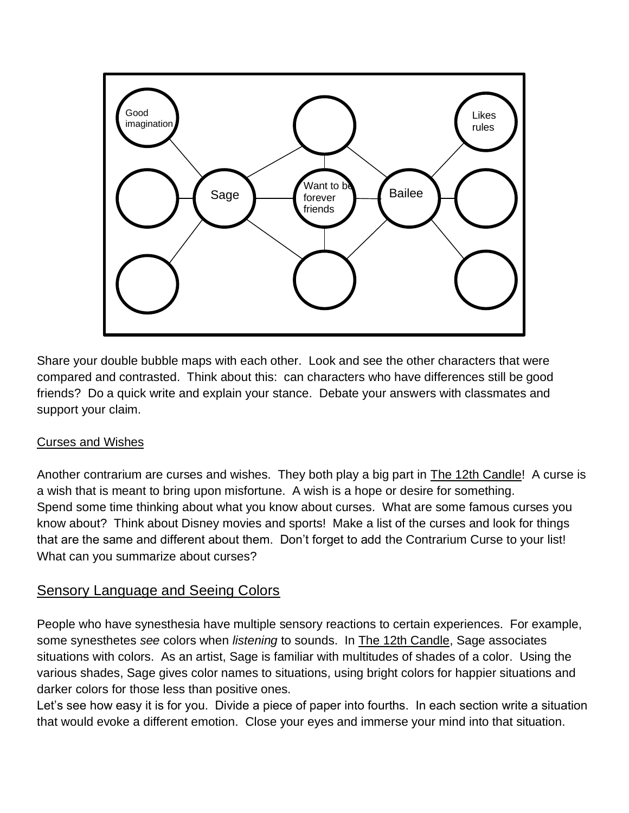

Share your double bubble maps with each other. Look and see the other characters that were compared and contrasted. Think about this: can characters who have differences still be good friends? Do a quick write and explain your stance. Debate your answers with classmates and support your claim.

#### Curses and Wishes

Another contrarium are curses and wishes. They both play a big part in The 12th Candle! A curse is a wish that is meant to bring upon misfortune. A wish is a hope or desire for something. Spend some time thinking about what you know about curses. What are some famous curses you know about? Think about Disney movies and sports! Make a list of the curses and look for things that are the same and different about them. Don't forget to add the Contrarium Curse to your list! What can you summarize about curses?

### Sensory Language and Seeing Colors

People who have synesthesia have multiple sensory reactions to certain experiences. For example, some synesthetes *see* colors when *listening* to sounds. In The 12th Candle, Sage associates situations with colors. As an artist, Sage is familiar with multitudes of shades of a color. Using the various shades, Sage gives color names to situations, using bright colors for happier situations and darker colors for those less than positive ones.

Let's see how easy it is for you. Divide a piece of paper into fourths. In each section write a situation that would evoke a different emotion. Close your eyes and immerse your mind into that situation.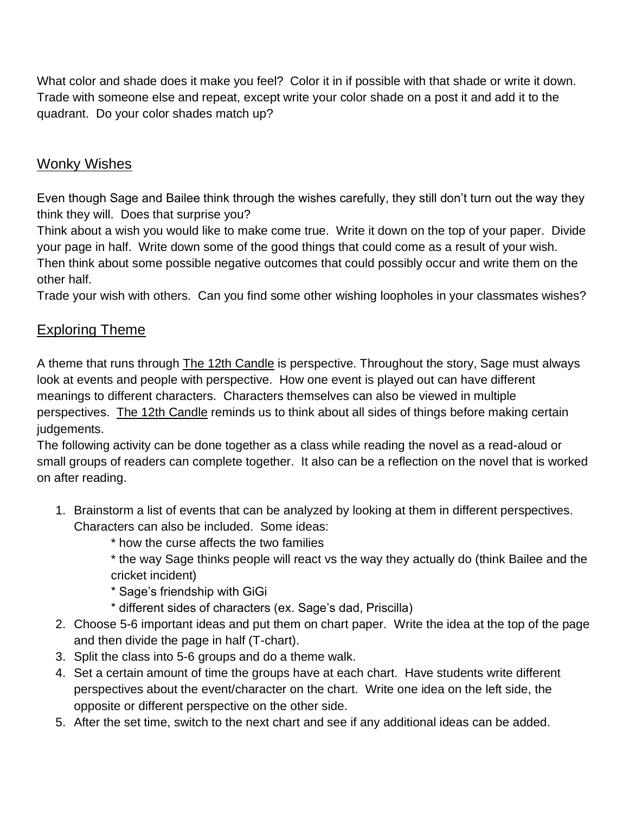What color and shade does it make you feel? Color it in if possible with that shade or write it down. Trade with someone else and repeat, except write your color shade on a post it and add it to the quadrant. Do your color shades match up?

### Wonky Wishes

Even though Sage and Bailee think through the wishes carefully, they still don't turn out the way they think they will. Does that surprise you?

Think about a wish you would like to make come true. Write it down on the top of your paper. Divide your page in half. Write down some of the good things that could come as a result of your wish. Then think about some possible negative outcomes that could possibly occur and write them on the

other half.

Trade your wish with others. Can you find some other wishing loopholes in your classmates wishes?

## Exploring Theme

A theme that runs through The 12th Candle is perspective. Throughout the story, Sage must always look at events and people with perspective. How one event is played out can have different meanings to different characters. Characters themselves can also be viewed in multiple perspectives. The 12th Candle reminds us to think about all sides of things before making certain judgements.

The following activity can be done together as a class while reading the novel as a read-aloud or small groups of readers can complete together. It also can be a reflection on the novel that is worked on after reading.

- 1. Brainstorm a list of events that can be analyzed by looking at them in different perspectives. Characters can also be included. Some ideas:
	- \* how the curse affects the two families
	- \* the way Sage thinks people will react vs the way they actually do (think Bailee and the cricket incident)
	- \* Sage's friendship with GiGi
	- \* different sides of characters (ex. Sage's dad, Priscilla)
- 2. Choose 5-6 important ideas and put them on chart paper. Write the idea at the top of the page and then divide the page in half (T-chart).
- 3. Split the class into 5-6 groups and do a theme walk.
- 4. Set a certain amount of time the groups have at each chart. Have students write different perspectives about the event/character on the chart. Write one idea on the left side, the opposite or different perspective on the other side.
- 5. After the set time, switch to the next chart and see if any additional ideas can be added.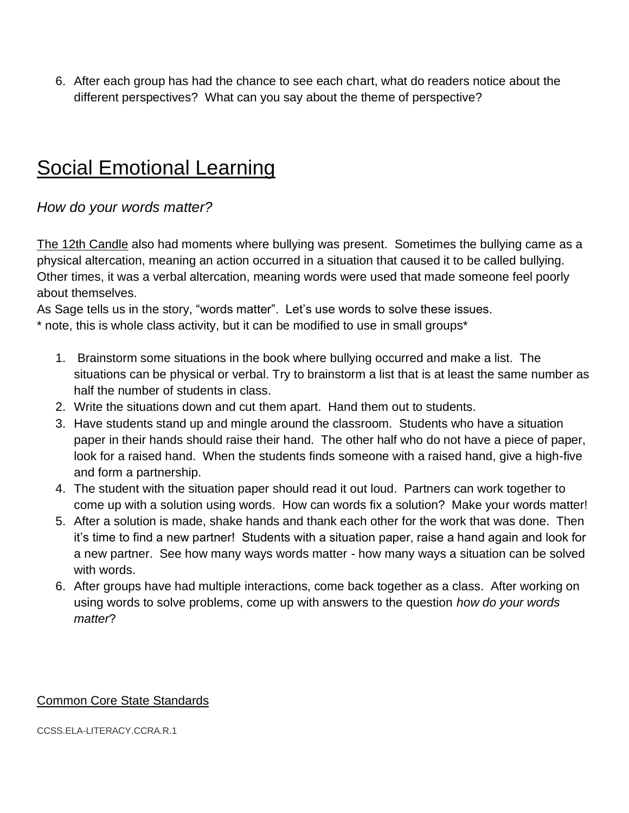6. After each group has had the chance to see each chart, what do readers notice about the different perspectives? What can you say about the theme of perspective?

## Social Emotional Learning

#### *How do your words matter?*

The 12th Candle also had moments where bullying was present. Sometimes the bullying came as a physical altercation, meaning an action occurred in a situation that caused it to be called bullying. Other times, it was a verbal altercation, meaning words were used that made someone feel poorly about themselves.

As Sage tells us in the story, "words matter". Let's use words to solve these issues.

\* note, this is whole class activity, but it can be modified to use in small groups\*

- 1. Brainstorm some situations in the book where bullying occurred and make a list. The situations can be physical or verbal. Try to brainstorm a list that is at least the same number as half the number of students in class.
- 2. Write the situations down and cut them apart. Hand them out to students.
- 3. Have students stand up and mingle around the classroom. Students who have a situation paper in their hands should raise their hand. The other half who do not have a piece of paper, look for a raised hand. When the students finds someone with a raised hand, give a high-five and form a partnership.
- 4. The student with the situation paper should read it out loud. Partners can work together to come up with a solution using words. How can words fix a solution? Make your words matter!
- 5. After a solution is made, shake hands and thank each other for the work that was done. Then it's time to find a new partner! Students with a situation paper, raise a hand again and look for a new partner. See how many ways words matter - how many ways a situation can be solved with words.
- 6. After groups have had multiple interactions, come back together as a class. After working on using words to solve problems, come up with answers to the question *how do your words matter*?

#### Common Core State Standards

[CCSS.ELA-LITERACY.CCRA.R.1](http://www.corestandards.org/ELA-Literacy/CCRA/R/1/)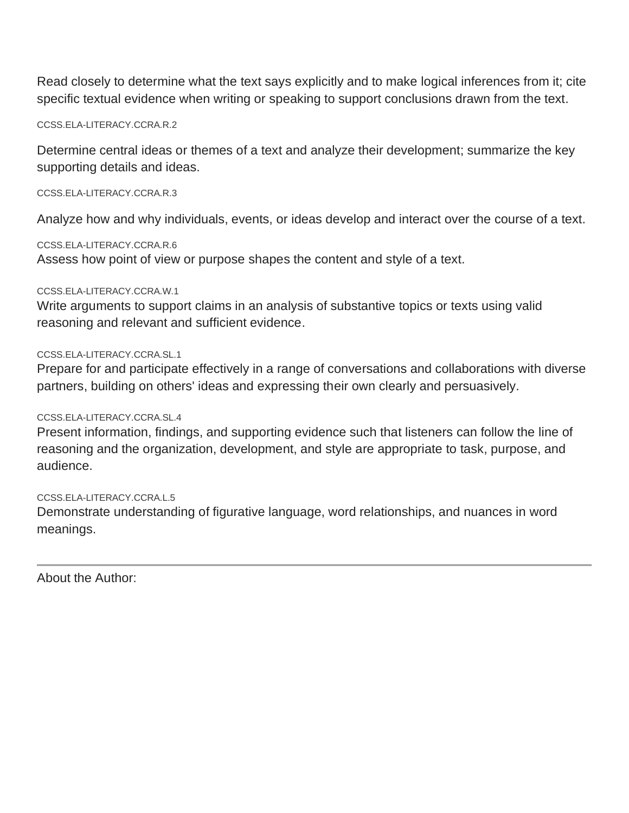Read closely to determine what the text says explicitly and to make logical inferences from it; cite specific textual evidence when writing or speaking to support conclusions drawn from the text.

[CCSS.ELA-LITERACY.CCRA.R.2](http://www.corestandards.org/ELA-Literacy/CCRA/R/2/)

Determine central ideas or themes of a text and analyze their development; summarize the key supporting details and ideas.

[CCSS.ELA-LITERACY.CCRA.R.3](http://www.corestandards.org/ELA-Literacy/CCRA/R/3/)

Analyze how and why individuals, events, or ideas develop and interact over the course of a text.

[CCSS.ELA-LITERACY.CCRA.R.6](http://www.corestandards.org/ELA-Literacy/CCRA/R/6/)

Assess how point of view or purpose shapes the content and style of a text.

#### [CCSS.ELA-LITERACY.CCRA.W.1](http://www.corestandards.org/ELA-Literacy/CCRA/W/1/)

Write arguments to support claims in an analysis of substantive topics or texts using valid reasoning and relevant and sufficient evidence.

#### [CCSS.ELA-LITERACY.CCRA.SL.1](http://www.corestandards.org/ELA-Literacy/CCRA/SL/1/)

Prepare for and participate effectively in a range of conversations and collaborations with diverse partners, building on others' ideas and expressing their own clearly and persuasively.

#### [CCSS.ELA-LITERACY.CCRA.SL.4](http://www.corestandards.org/ELA-Literacy/CCRA/SL/4/)

Present information, findings, and supporting evidence such that listeners can follow the line of reasoning and the organization, development, and style are appropriate to task, purpose, and audience.

#### [CCSS.ELA-LITERACY.CCRA.L.5](http://www.corestandards.org/ELA-Literacy/CCRA/L/5/)

Demonstrate understanding of figurative language, word relationships, and nuances in word meanings.

About the Author: